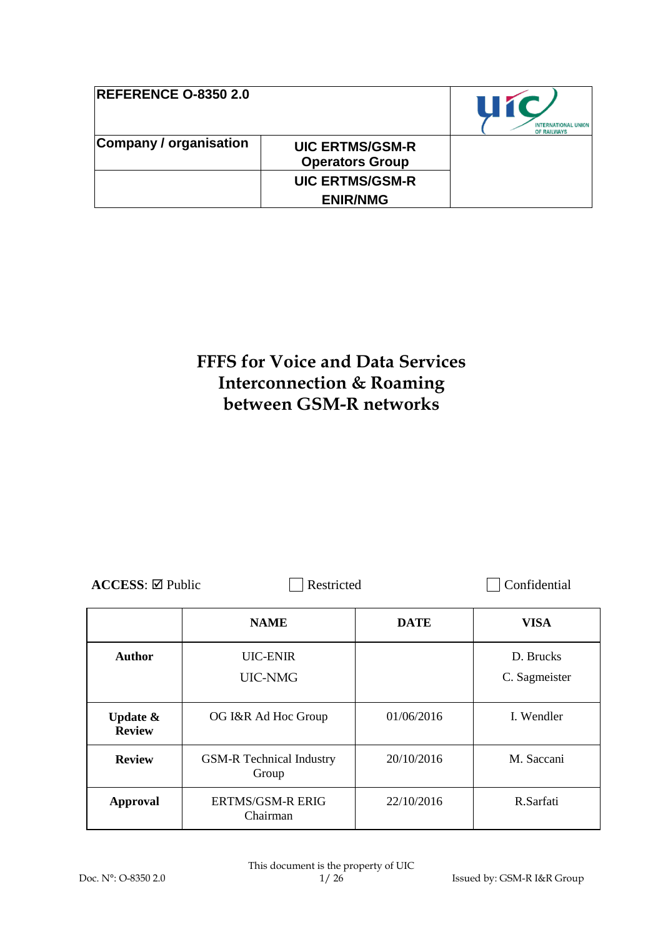| <b>REFERENCE O-8350 2.0</b> |                                                  | 11 M<br><b>INTERNATIONAL UNION</b><br>OF RAILWAYS |
|-----------------------------|--------------------------------------------------|---------------------------------------------------|
| Company / organisation      | <b>UIC ERTMS/GSM-R</b><br><b>Operators Group</b> |                                                   |
|                             | <b>UIC ERTMS/GSM-R</b>                           |                                                   |
|                             | <b>ENIR/NMG</b>                                  |                                                   |

# **FFFS for Voice and Data Services Interconnection & Roaming between GSM-R networks**

| $\text{ACCESS}$ : $\boxtimes$ Public |                                          | Restricted  |                            |
|--------------------------------------|------------------------------------------|-------------|----------------------------|
|                                      | <b>NAME</b>                              | <b>DATE</b> | <b>VISA</b>                |
| <b>Author</b>                        | <b>UIC-ENIR</b><br>UIC-NMG               |             | D. Brucks<br>C. Sagmeister |
| Update $\&$<br><b>Review</b>         | OG I&R Ad Hoc Group                      | 01/06/2016  | I. Wendler                 |
| <b>Review</b>                        | <b>GSM-R</b> Technical Industry<br>Group | 20/10/2016  | M. Saccani                 |
| <b>Approval</b>                      | <b>ERTMS/GSM-R ERIG</b><br>Chairman      | 22/10/2016  | R.Sarfati                  |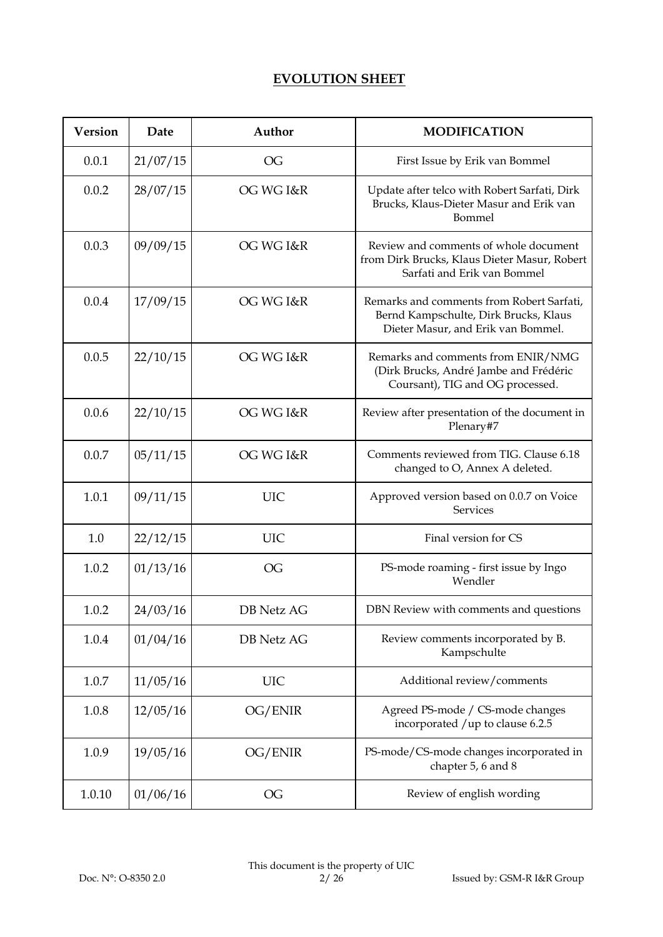# **EVOLUTION SHEET**

| <b>Version</b> | Date     | Author            | <b>MODIFICATION</b>                                                                                                      |
|----------------|----------|-------------------|--------------------------------------------------------------------------------------------------------------------------|
| 0.0.1          | 21/07/15 | OG                | First Issue by Erik van Bommel                                                                                           |
| 0.0.2          | 28/07/15 | OG WG I&R         | Update after telco with Robert Sarfati, Dirk<br>Brucks, Klaus-Dieter Masur and Erik van<br>Bommel                        |
| 0.0.3          | 09/09/15 | OG WG I&R         | Review and comments of whole document<br>from Dirk Brucks, Klaus Dieter Masur, Robert<br>Sarfati and Erik van Bommel     |
| 0.0.4          | 17/09/15 | OG WG I&R         | Remarks and comments from Robert Sarfati,<br>Bernd Kampschulte, Dirk Brucks, Klaus<br>Dieter Masur, and Erik van Bommel. |
| 0.0.5          | 22/10/15 | OG WG I&R         | Remarks and comments from ENIR/NMG<br>(Dirk Brucks, André Jambe and Frédéric<br>Coursant), TIG and OG processed.         |
| 0.0.6          | 22/10/15 | OG WG I&R         | Review after presentation of the document in<br>Plenary#7                                                                |
| 0.0.7          | 05/11/15 | OG WG I&R         | Comments reviewed from TIG. Clause 6.18<br>changed to O, Annex A deleted.                                                |
| 1.0.1          | 09/11/15 | <b>UIC</b>        | Approved version based on 0.0.7 on Voice<br>Services                                                                     |
| 1.0            | 22/12/15 | <b>UIC</b>        | Final version for CS                                                                                                     |
| 1.0.2          | 01/13/16 | OG                | PS-mode roaming - first issue by Ingo<br>Wendler                                                                         |
| 1.0.2          | 24/03/16 | <b>DB</b> Netz AG | DBN Review with comments and questions                                                                                   |
| 1.0.4          | 01/04/16 | DB Netz AG        | Review comments incorporated by B.<br>Kampschulte                                                                        |
| 1.0.7          | 11/05/16 | <b>UIC</b>        | Additional review/comments                                                                                               |
| 1.0.8          | 12/05/16 | OG/ENIR           | Agreed PS-mode / CS-mode changes<br>incorporated /up to clause 6.2.5                                                     |
| 1.0.9          | 19/05/16 | OG/ENIR           | PS-mode/CS-mode changes incorporated in<br>chapter 5, 6 and 8                                                            |
| 1.0.10         | 01/06/16 | OG                | Review of english wording                                                                                                |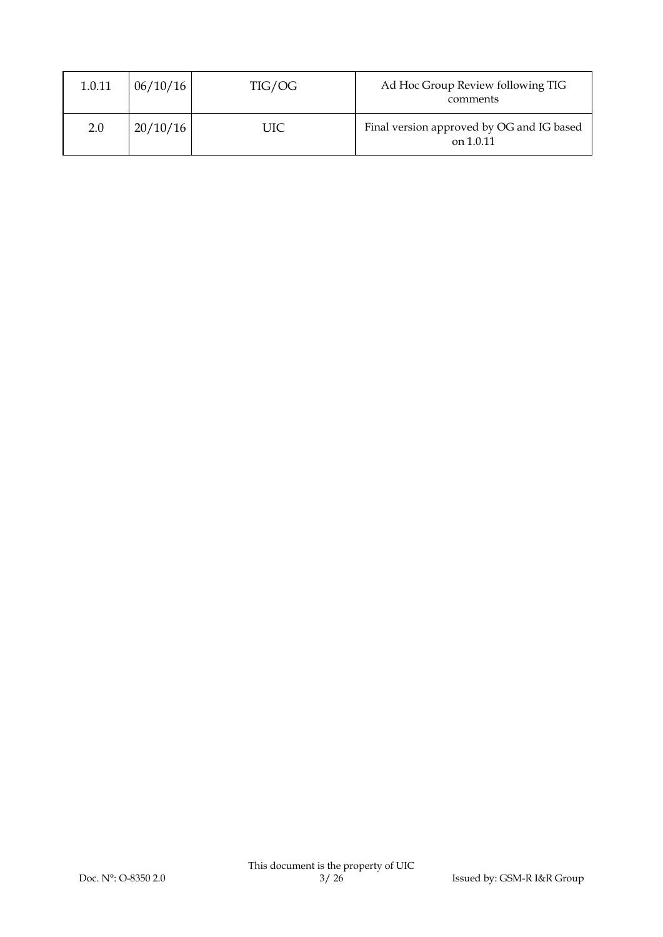| 1.0.11 | 06/10/16 | TIG/OG | Ad Hoc Group Review following TIG<br>comments          |
|--------|----------|--------|--------------------------------------------------------|
| 2.0    | 20/10/16 | UIC    | Final version approved by OG and IG based<br>on 1.0.11 |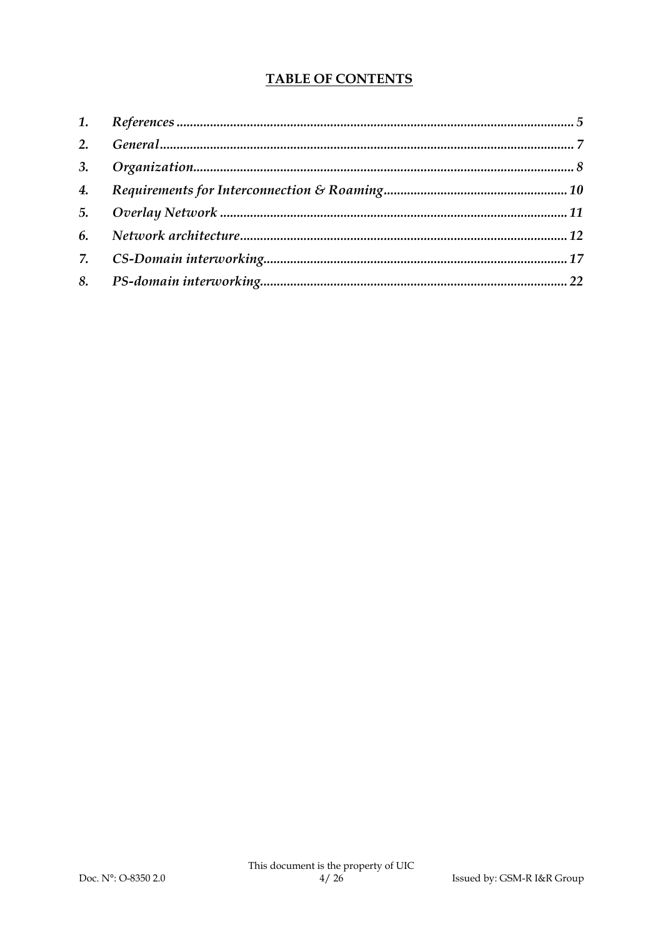# **TABLE OF CONTENTS**

| 4. |  |
|----|--|
|    |  |
|    |  |
|    |  |
|    |  |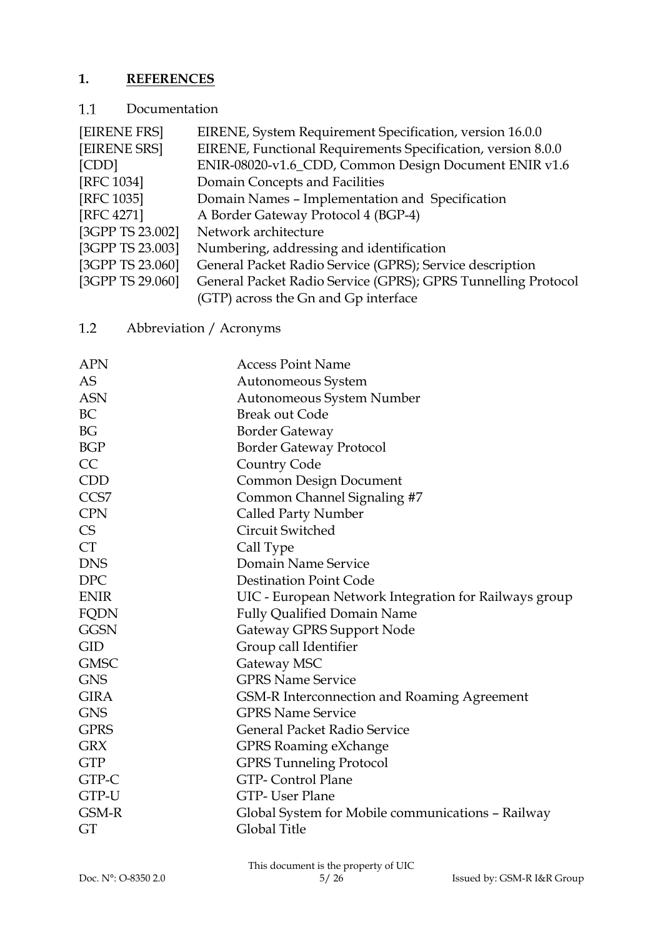# **1. REFERENCES**

#### $1.1\,$ Documentation

| EIRENE, System Requirement Specification, version 16.0.0      |
|---------------------------------------------------------------|
| EIRENE, Functional Requirements Specification, version 8.0.0  |
| ENIR-08020-v1.6_CDD, Common Design Document ENIR v1.6         |
| Domain Concepts and Facilities                                |
| Domain Names - Implementation and Specification               |
| A Border Gateway Protocol 4 (BGP-4)                           |
| Network architecture                                          |
| Numbering, addressing and identification                      |
| General Packet Radio Service (GPRS); Service description      |
| General Packet Radio Service (GPRS); GPRS Tunnelling Protocol |
| (GTP) across the Gn and Gp interface                          |
|                                                               |

#### $1.2$ Abbreviation / Acronyms

| <b>APN</b>  | <b>Access Point Name</b>                              |
|-------------|-------------------------------------------------------|
| <b>AS</b>   | Autonomeous System                                    |
| <b>ASN</b>  | Autonomeous System Number                             |
| BC          | <b>Break out Code</b>                                 |
| <b>BG</b>   | <b>Border Gateway</b>                                 |
| <b>BGP</b>  | <b>Border Gateway Protocol</b>                        |
| CC          | Country Code                                          |
| <b>CDD</b>  | <b>Common Design Document</b>                         |
| CCS7        | Common Channel Signaling #7                           |
| <b>CPN</b>  | <b>Called Party Number</b>                            |
| CS          | Circuit Switched                                      |
| <b>CT</b>   | Call Type                                             |
| <b>DNS</b>  | Domain Name Service                                   |
| <b>DPC</b>  | <b>Destination Point Code</b>                         |
| <b>ENIR</b> | UIC - European Network Integration for Railways group |
| FQDN        | <b>Fully Qualified Domain Name</b>                    |
| <b>GGSN</b> | Gateway GPRS Support Node                             |
| <b>GID</b>  | Group call Identifier                                 |
| <b>GMSC</b> | Gateway MSC                                           |
| <b>GNS</b>  | <b>GPRS Name Service</b>                              |
| <b>GIRA</b> | GSM-R Interconnection and Roaming Agreement           |
| <b>GNS</b>  | <b>GPRS Name Service</b>                              |
| <b>GPRS</b> | <b>General Packet Radio Service</b>                   |
| <b>GRX</b>  | <b>GPRS Roaming eXchange</b>                          |
| <b>GTP</b>  | <b>GPRS Tunneling Protocol</b>                        |
| GTP-C       | <b>GTP-Control Plane</b>                              |
| GTP-U       | GTP-User Plane                                        |
| GSM-R       | Global System for Mobile communications - Railway     |
| GT          | Global Title                                          |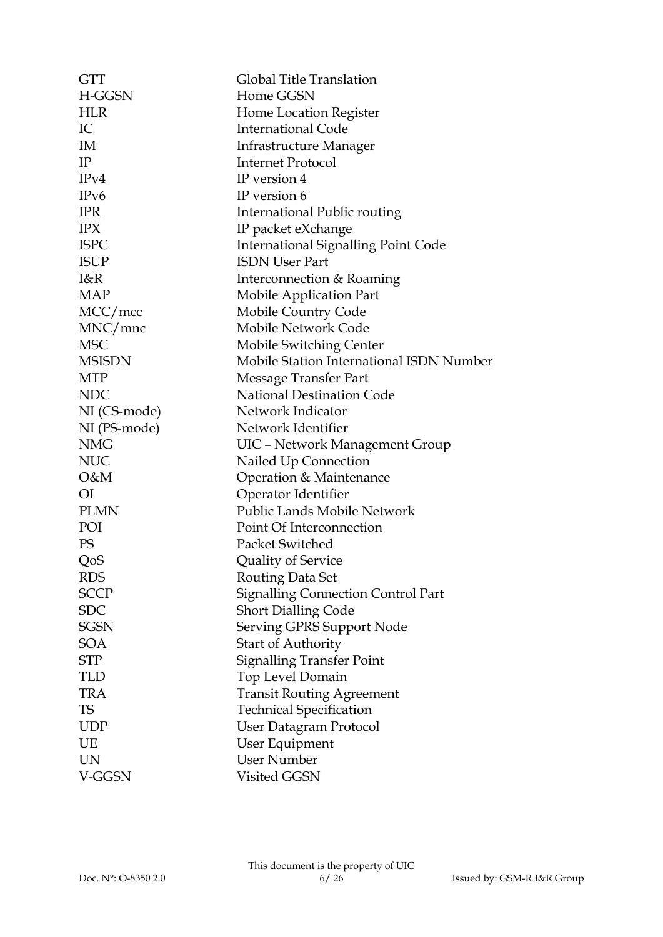| <b>GTT</b>    | Global Title Translation                   |
|---------------|--------------------------------------------|
| H-GGSN        | Home GGSN                                  |
| <b>HLR</b>    | Home Location Register                     |
| IC            | <b>International Code</b>                  |
| IM            | <b>Infrastructure Manager</b>              |
| IP            | <b>Internet Protocol</b>                   |
| IPv4          | IP version 4                               |
| IPv6          | IP version 6                               |
| <b>IPR</b>    | International Public routing               |
| <b>IPX</b>    | IP packet eXchange                         |
| <b>ISPC</b>   | <b>International Signalling Point Code</b> |
| <b>ISUP</b>   | <b>ISDN User Part</b>                      |
| I&R           | Interconnection & Roaming                  |
| <b>MAP</b>    | Mobile Application Part                    |
| MCC/mcc       | Mobile Country Code                        |
| MNC/mnc       | <b>Mobile Network Code</b>                 |
| <b>MSC</b>    | <b>Mobile Switching Center</b>             |
| <b>MSISDN</b> | Mobile Station International ISDN Number   |
| <b>MTP</b>    | Message Transfer Part                      |
| <b>NDC</b>    | <b>National Destination Code</b>           |
| NI (CS-mode)  | Network Indicator                          |
| NI (PS-mode)  | Network Identifier                         |
| <b>NMG</b>    | UIC - Network Management Group             |
| <b>NUC</b>    | Nailed Up Connection                       |
| O&M           | Operation & Maintenance                    |
| ΟI            | Operator Identifier                        |
| <b>PLMN</b>   | Public Lands Mobile Network                |
| POI           | Point Of Interconnection                   |
| PS            | Packet Switched                            |
| QoS           | Quality of Service                         |
| <b>RDS</b>    | Routing Data Set                           |
| <b>SCCP</b>   | Signalling Connection Control Part         |
| <b>SDC</b>    | <b>Short Dialling Code</b>                 |
| <b>SGSN</b>   | Serving GPRS Support Node                  |
| <b>SOA</b>    | <b>Start of Authority</b>                  |
| STP           | <b>Signalling Transfer Point</b>           |
| TLD           | Top Level Domain                           |
| <b>TRA</b>    | <b>Transit Routing Agreement</b>           |
| <b>TS</b>     | <b>Technical Specification</b>             |
| <b>UDP</b>    | <b>User Datagram Protocol</b>              |
| UE            | User Equipment                             |
| <b>UN</b>     | <b>User Number</b>                         |
| V-GGSN        | Visited GGSN                               |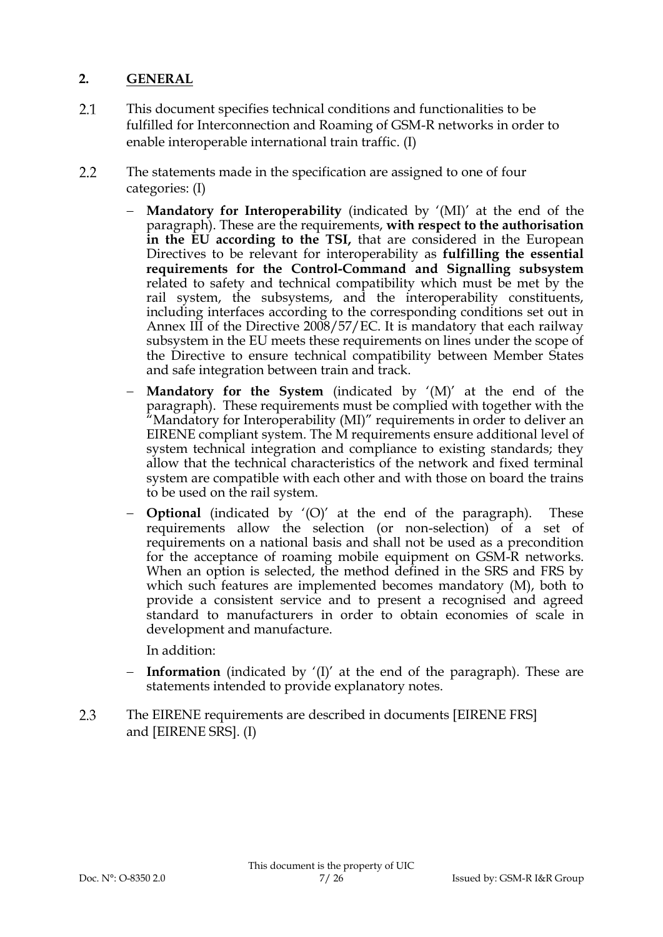# **2. GENERAL**

- 2.1 This document specifies technical conditions and functionalities to be fulfilled for Interconnection and Roaming of GSM-R networks in order to enable interoperable international train traffic. (I)
- $2.2$ The statements made in the specification are assigned to one of four categories: (I)
	- **Mandatory for Interoperability** (indicated by '(MI)' at the end of the paragraph). These are the requirements, **with respect to the authorisation in the EU according to the TSI,** that are considered in the European Directives to be relevant for interoperability as **fulfilling the essential requirements for the Control-Command and Signalling subsystem** related to safety and technical compatibility which must be met by the rail system, the subsystems, and the interoperability constituents, including interfaces according to the corresponding conditions set out in Annex III of the Directive 2008/57/EC. It is mandatory that each railway subsystem in the EU meets these requirements on lines under the scope of the Directive to ensure technical compatibility between Member States and safe integration between train and track.
	- **Mandatory for the System** (indicated by '(M)' at the end of the paragraph). These requirements must be complied with together with the "Mandatory for Interoperability (MI)" requirements in order to deliver an EIRENE compliant system. The M requirements ensure additional level of system technical integration and compliance to existing standards; they allow that the technical characteristics of the network and fixed terminal system are compatible with each other and with those on board the trains to be used on the rail system.
	- **Optional** (indicated by '(O)' at the end of the paragraph). These requirements allow the selection (or non-selection) of a set of requirements on a national basis and shall not be used as a precondition for the acceptance of roaming mobile equipment on GSM-R networks. When an option is selected, the method defined in the SRS and FRS by which such features are implemented becomes mandatory (M), both to provide a consistent service and to present a recognised and agreed standard to manufacturers in order to obtain economies of scale in development and manufacture.

In addition:

- **Information** (indicated by '(I)' at the end of the paragraph). These are statements intended to provide explanatory notes.
- 2.3 The EIRENE requirements are described in documents [EIRENE FRS] and [EIRENE SRS]. (I)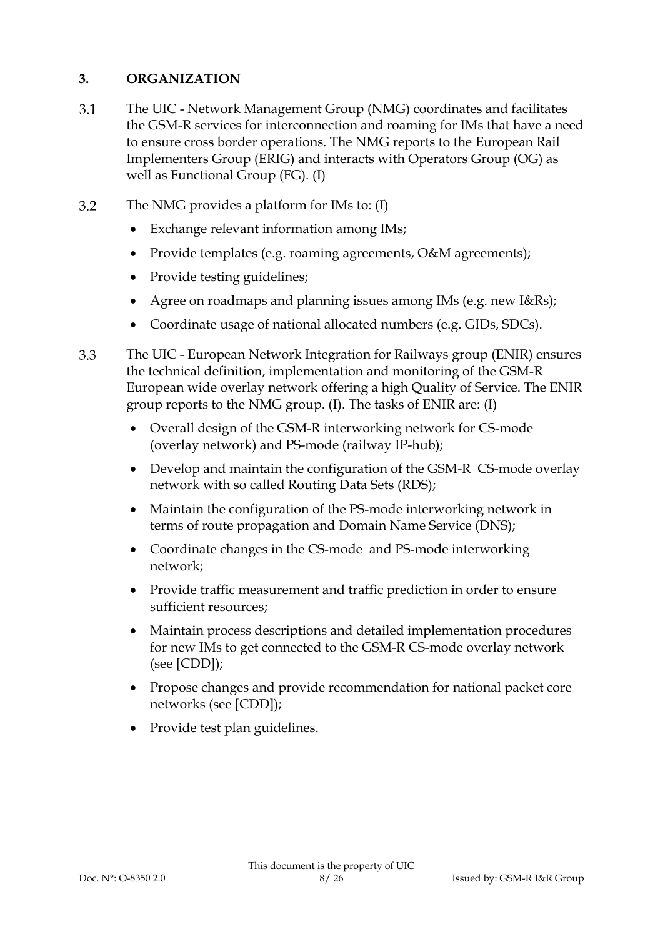# **3. ORGANIZATION**

- $3.1$ The UIC - Network Management Group (NMG) coordinates and facilitates the GSM-R services for interconnection and roaming for IMs that have a need to ensure cross border operations. The NMG reports to the European Rail Implementers Group (ERIG) and interacts with Operators Group (OG) as well as Functional Group (FG). (I)
- $3.2$ The NMG provides a platform for IMs to: (I)
	- Exchange relevant information among IMs;
	- Provide templates (e.g. roaming agreements, O&M agreements);
	- Provide testing guidelines;
	- Agree on roadmaps and planning issues among IMs (e.g. new I&Rs);
	- Coordinate usage of national allocated numbers (e.g. GIDs, SDCs).
- 3.3 The UIC - European Network Integration for Railways group (ENIR) ensures the technical definition, implementation and monitoring of the GSM-R European wide overlay network offering a high Quality of Service. The ENIR group reports to the NMG group. (I). The tasks of ENIR are: (I)
	- Overall design of the GSM-R interworking network for CS-mode (overlay network) and PS-mode (railway IP-hub);
	- Develop and maintain the configuration of the GSM-R CS-mode overlay network with so called Routing Data Sets (RDS);
	- Maintain the configuration of the PS-mode interworking network in terms of route propagation and Domain Name Service (DNS);
	- Coordinate changes in the CS-mode and PS-mode interworking network;
	- Provide traffic measurement and traffic prediction in order to ensure sufficient resources;
	- Maintain process descriptions and detailed implementation procedures for new IMs to get connected to the GSM-R CS-mode overlay network (see [CDD]);
	- Propose changes and provide recommendation for national packet core networks (see [CDD]);
	- Provide test plan guidelines.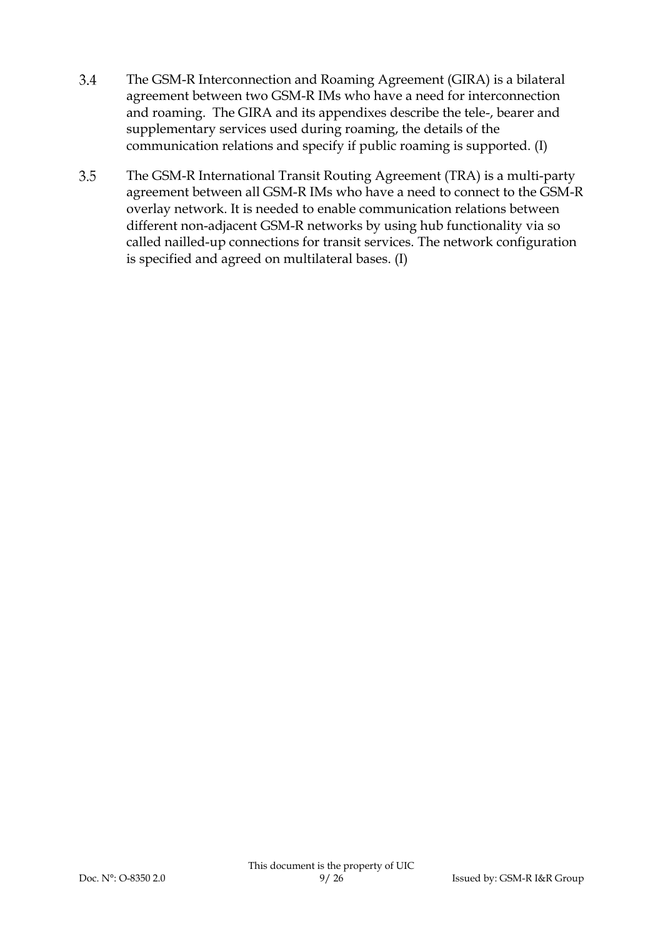- 3.4 The GSM-R Interconnection and Roaming Agreement (GIRA) is a bilateral agreement between two GSM-R IMs who have a need for interconnection and roaming. The GIRA and its appendixes describe the tele-, bearer and supplementary services used during roaming, the details of the communication relations and specify if public roaming is supported. (I)
- 3.5 The GSM-R International Transit Routing Agreement (TRA) is a multi-party agreement between all GSM-R IMs who have a need to connect to the GSM-R overlay network. It is needed to enable communication relations between different non-adjacent GSM-R networks by using hub functionality via so called nailled-up connections for transit services. The network configuration is specified and agreed on multilateral bases. (I)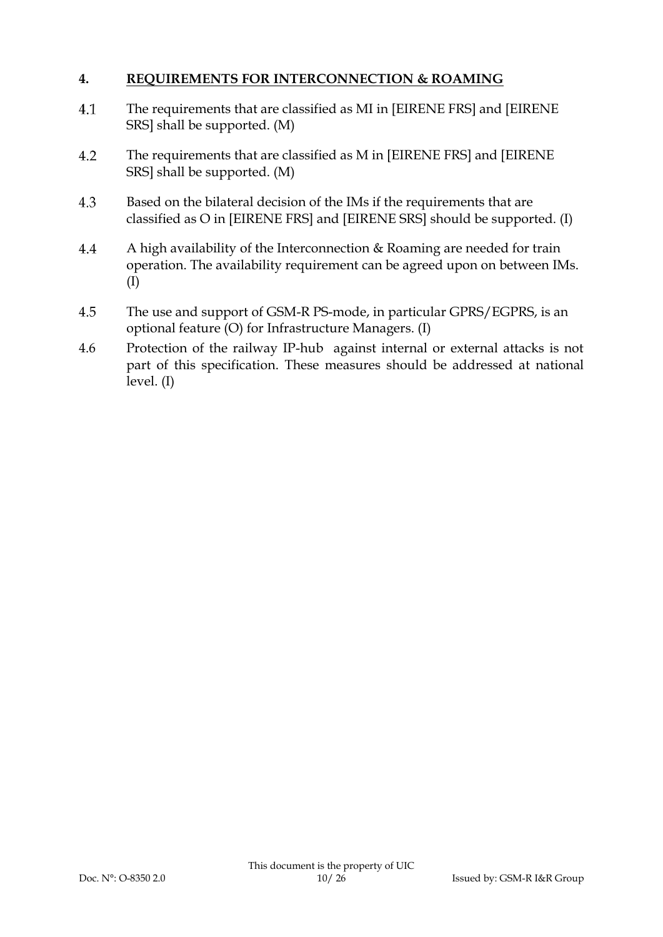## **4. REQUIREMENTS FOR INTERCONNECTION & ROAMING**

- The requirements that are classified as MI in [EIRENE FRS] and [EIRENE 4.1 SRS] shall be supported. (M)
- $4.2$ The requirements that are classified as M in [EIRENE FRS] and [EIRENE SRS] shall be supported. (M)
- 4.3 Based on the bilateral decision of the IMs if the requirements that are classified as O in [EIRENE FRS] and [EIRENE SRS] should be supported. (I)
- 4.4 A high availability of the Interconnection & Roaming are needed for train operation. The availability requirement can be agreed upon on between IMs. (I)
- 4.5 The use and support of GSM-R PS-mode, in particular GPRS/EGPRS, is an optional feature (O) for Infrastructure Managers. (I)
- 4.6 Protection of the railway IP-hub against internal or external attacks is not part of this specification. These measures should be addressed at national  $level. (I)$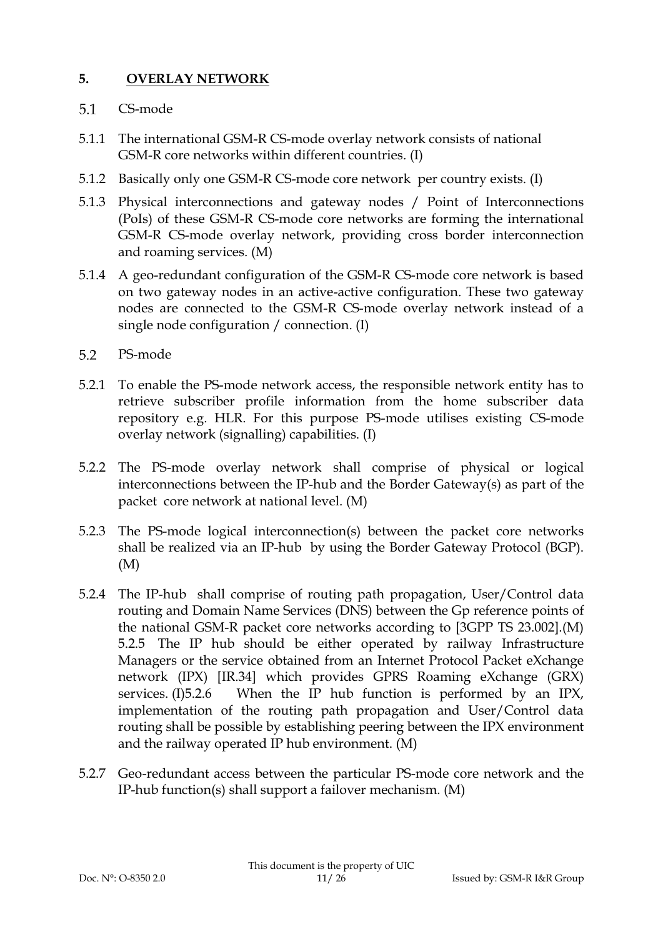# **5. OVERLAY NETWORK**

#### $5.1$ CS-mode

- 5.1.1 The international GSM-R CS-mode overlay network consists of national GSM-R core networks within different countries. (I)
- 5.1.2 Basically only one GSM-R CS-mode core network per country exists. (I)
- 5.1.3 Physical interconnections and gateway nodes / Point of Interconnections (PoIs) of these GSM-R CS-mode core networks are forming the international GSM-R CS-mode overlay network, providing cross border interconnection and roaming services. (M)
- 5.1.4 A geo-redundant configuration of the GSM-R CS-mode core network is based on two gateway nodes in an active-active configuration. These two gateway nodes are connected to the GSM-R CS-mode overlay network instead of a single node configuration / connection. (I)
- $5.2$ PS-mode
- 5.2.1 To enable the PS-mode network access, the responsible network entity has to retrieve subscriber profile information from the home subscriber data repository e.g. HLR. For this purpose PS-mode utilises existing CS-mode overlay network (signalling) capabilities. (I)
- 5.2.2 The PS-mode overlay network shall comprise of physical or logical interconnections between the IP-hub and the Border Gateway(s) as part of the packet core network at national level. (M)
- 5.2.3 The PS-mode logical interconnection(s) between the packet core networks shall be realized via an IP-hub by using the Border Gateway Protocol (BGP). (M)
- 5.2.4 The IP-hub shall comprise of routing path propagation, User/Control data routing and Domain Name Services (DNS) between the Gp reference points of the national GSM-R packet core networks according to [3GPP TS 23.002].(M) 5.2.5 The IP hub should be either operated by railway Infrastructure Managers or the service obtained from an Internet Protocol Packet eXchange network (IPX) [IR.34] which provides GPRS Roaming eXchange (GRX) services. (I)5.2.6 When the IP hub function is performed by an IPX, implementation of the routing path propagation and User/Control data routing shall be possible by establishing peering between the IPX environment and the railway operated IP hub environment. (M)
- 5.2.7 Geo-redundant access between the particular PS-mode core network and the IP-hub function(s) shall support a failover mechanism. (M)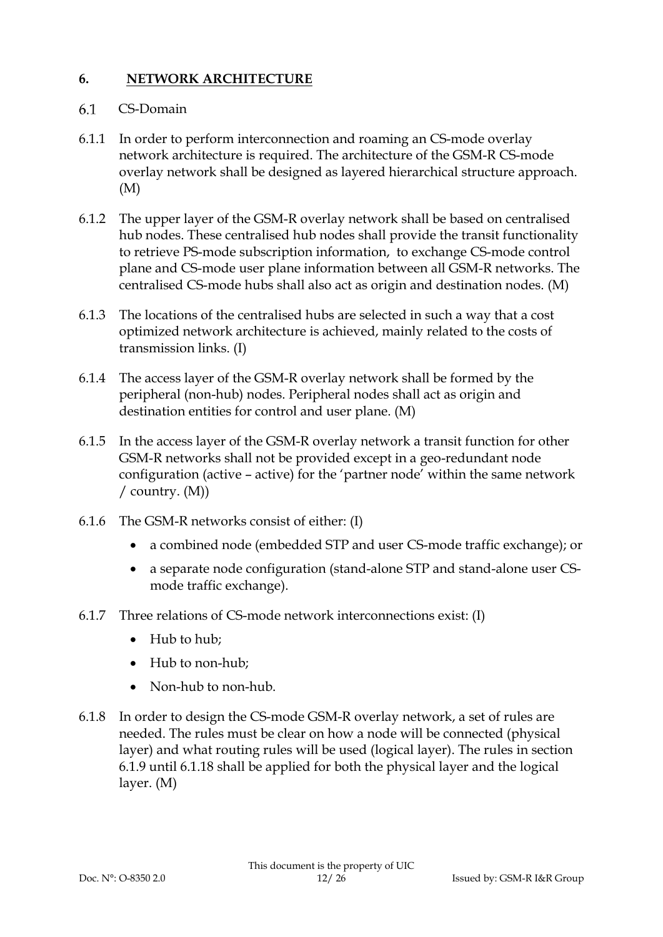# **6. NETWORK ARCHITECTURE**

#### 6.1 CS-Domain

- 6.1.1 In order to perform interconnection and roaming an CS-mode overlay network architecture is required. The architecture of the GSM-R CS-mode overlay network shall be designed as layered hierarchical structure approach. (M)
- 6.1.2 The upper layer of the GSM-R overlay network shall be based on centralised hub nodes. These centralised hub nodes shall provide the transit functionality to retrieve PS-mode subscription information, to exchange CS-mode control plane and CS-mode user plane information between all GSM-R networks. The centralised CS-mode hubs shall also act as origin and destination nodes. (M)
- 6.1.3 The locations of the centralised hubs are selected in such a way that a cost optimized network architecture is achieved, mainly related to the costs of transmission links. (I)
- 6.1.4 The access layer of the GSM-R overlay network shall be formed by the peripheral (non-hub) nodes. Peripheral nodes shall act as origin and destination entities for control and user plane. (M)
- 6.1.5 In the access layer of the GSM-R overlay network a transit function for other GSM-R networks shall not be provided except in a geo-redundant node configuration (active – active) for the 'partner node' within the same network / country. (M))
- 6.1.6 The GSM-R networks consist of either: (I)
	- a combined node (embedded STP and user CS-mode traffic exchange); or
	- a separate node configuration (stand-alone STP and stand-alone user CSmode traffic exchange).
- 6.1.7 Three relations of CS-mode network interconnections exist: (I)
	- Hub to hub;
	- Hub to non-hub;
	- Non-hub to non-hub.
- 6.1.8 In order to design the CS-mode GSM-R overlay network, a set of rules are needed. The rules must be clear on how a node will be connected (physical layer) and what routing rules will be used (logical layer). The rules in section [6.1.9](#page-12-0) until [6.1.18](#page-12-1) shall be applied for both the physical layer and the logical layer. (M)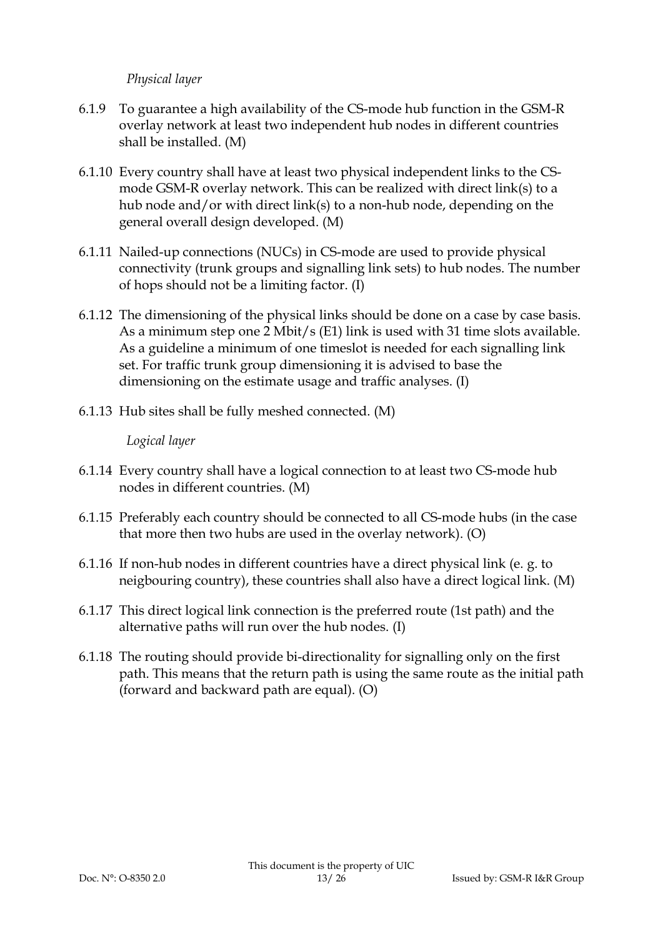### *Physical layer*

- <span id="page-12-0"></span>6.1.9 To guarantee a high availability of the CS-mode hub function in the GSM-R overlay network at least two independent hub nodes in different countries shall be installed. (M)
- 6.1.10 Every country shall have at least two physical independent links to the CSmode GSM-R overlay network. This can be realized with direct link(s) to a hub node and/or with direct link(s) to a non-hub node, depending on the general overall design developed. (M)
- 6.1.11 Nailed-up connections (NUCs) in CS-mode are used to provide physical connectivity (trunk groups and signalling link sets) to hub nodes. The number of hops should not be a limiting factor. (I)
- 6.1.12 The dimensioning of the physical links should be done on a case by case basis. As a minimum step one 2 Mbit/s (E1) link is used with 31 time slots available. As a guideline a minimum of one timeslot is needed for each signalling link set. For traffic trunk group dimensioning it is advised to base the dimensioning on the estimate usage and traffic analyses. (I)
- 6.1.13 Hub sites shall be fully meshed connected. (M)

### *Logical layer*

- 6.1.14 Every country shall have a logical connection to at least two CS-mode hub nodes in different countries. (M)
- 6.1.15 Preferably each country should be connected to all CS-mode hubs (in the case that more then two hubs are used in the overlay network). (O)
- 6.1.16 If non-hub nodes in different countries have a direct physical link (e. g. to neigbouring country), these countries shall also have a direct logical link. (M)
- 6.1.17 This direct logical link connection is the preferred route (1st path) and the alternative paths will run over the hub nodes. (I)
- <span id="page-12-1"></span>6.1.18 The routing should provide bi-directionality for signalling only on the first path. This means that the return path is using the same route as the initial path (forward and backward path are equal). (O)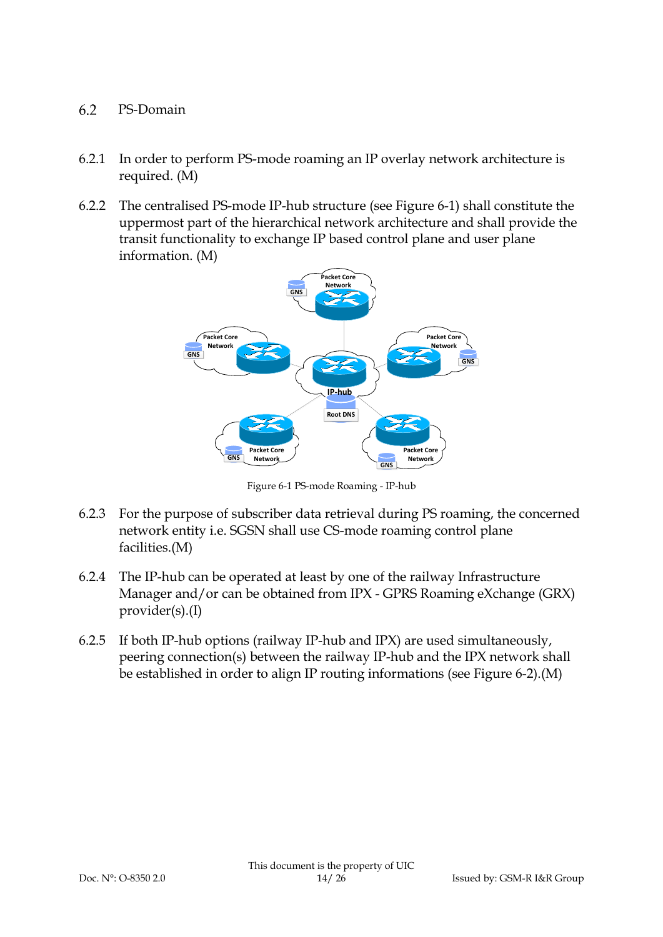#### 6.2 PS-Domain

- 6.2.1 In order to perform PS-mode roaming an IP overlay network architecture is required. (M)
- 6.2.2 The centralised PS-mode IP-hub structure (see [Figure 6-1\)](#page-13-0) shall constitute the uppermost part of the hierarchical network architecture and shall provide the transit functionality to exchange IP based control plane and user plane information. (M)



Figure 6-1 PS-mode Roaming - IP-hub

- <span id="page-13-0"></span>6.2.3 For the purpose of subscriber data retrieval during PS roaming, the concerned network entity i.e. SGSN shall use CS-mode roaming control plane facilities.(M)
- 6.2.4 The IP-hub can be operated at least by one of the railway Infrastructure Manager and/or can be obtained from IPX - GPRS Roaming eXchange (GRX) provider(s).(I)
- 6.2.5 If both IP-hub options (railway IP-hub and IPX) are used simultaneously, peering connection(s) between the railway IP-hub and the IPX network shall be established in order to align IP routing informations (see [Figure 6-2\)](#page-14-0).(M)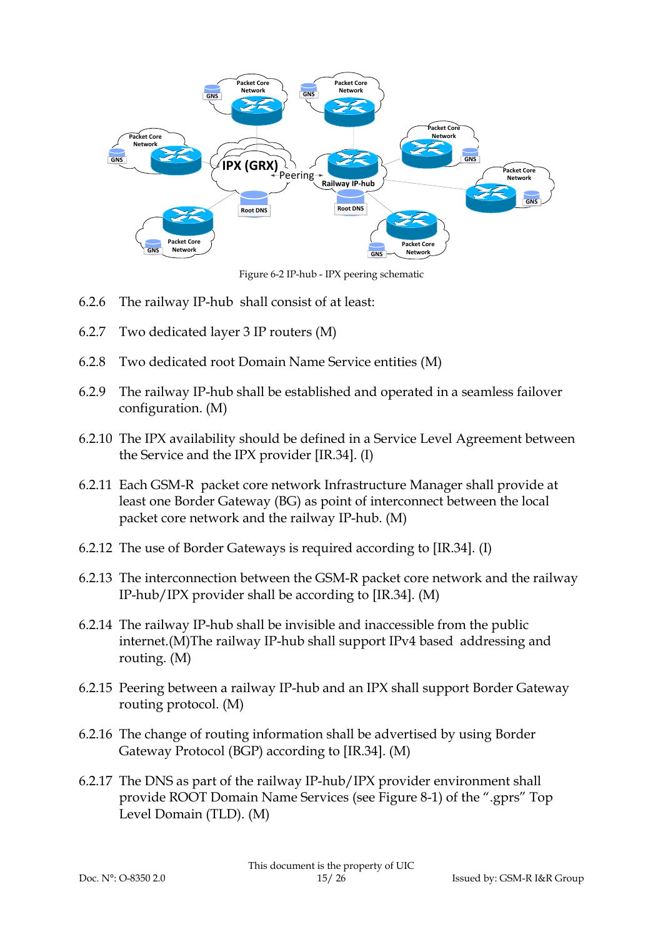

Figure 6-2 IP-hub - IPX peering schematic

- <span id="page-14-0"></span>6.2.6 The railway IP-hub shall consist of at least:
- 6.2.7 Two dedicated layer 3 IP routers (M)
- 6.2.8 Two dedicated root Domain Name Service entities (M)
- 6.2.9 The railway IP-hub shall be established and operated in a seamless failover configuration. (M)
- 6.2.10 The IPX availability should be defined in a Service Level Agreement between the Service and the IPX provider [IR.34]. (I)
- 6.2.11 Each GSM-R packet core network Infrastructure Manager shall provide at least one Border Gateway (BG) as point of interconnect between the local packet core network and the railway IP-hub. (M)
- 6.2.12 The use of Border Gateways is required according to [IR.34]. (I)
- 6.2.13 The interconnection between the GSM-R packet core network and the railway IP-hub/IPX provider shall be according to [IR.34]. (M)
- 6.2.14 The railway IP-hub shall be invisible and inaccessible from the public internet.(M)The railway IP-hub shall support IPv4 based addressing and routing. (M)
- 6.2.15 Peering between a railway IP-hub and an IPX shall support Border Gateway routing protocol. (M)
- 6.2.16 The change of routing information shall be advertised by using Border Gateway Protocol (BGP) according to [IR.34]. (M)
- 6.2.17 The DNS as part of the railway IP-hub/IPX provider environment shall provide ROOT Domain Name Services (see [Figure 8-1\)](#page-22-0) of the ".gprs" Top Level Domain (TLD). (M)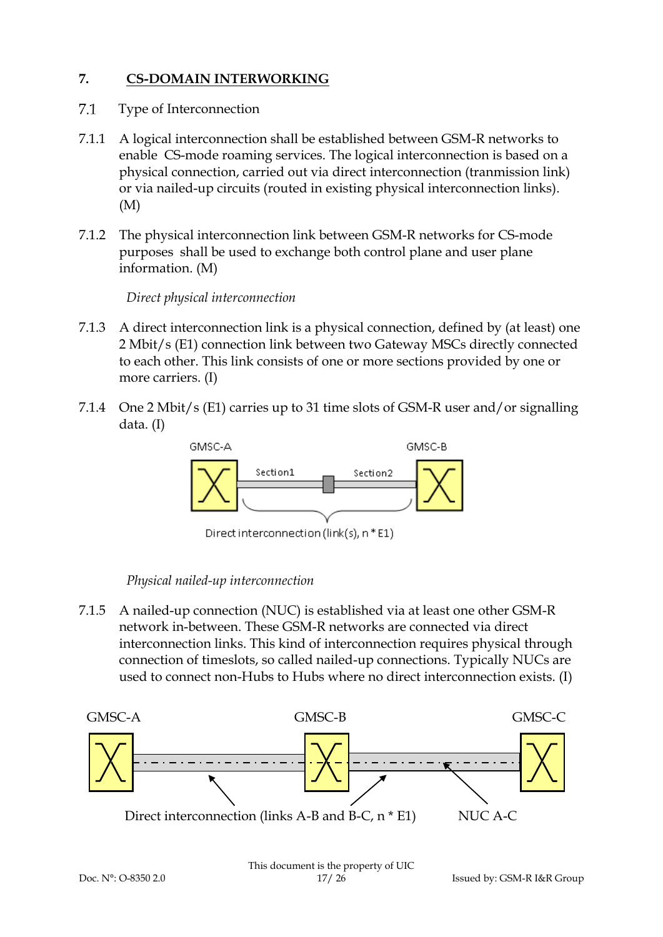# **7. CS-DOMAIN INTERWORKING**

- $7.1$ Type of Interconnection
- 7.1.1 A logical interconnection shall be established between GSM-R networks to enable CS-mode roaming services. The logical interconnection is based on a physical connection, carried out via direct interconnection (tranmission link) or via nailed-up circuits (routed in existing physical interconnection links). (M)
- 7.1.2 The physical interconnection link between GSM-R networks for CS-mode purposes shall be used to exchange both control plane and user plane information. (M)

*Direct physical interconnection*

- 7.1.3 A direct interconnection link is a physical connection, defined by (at least) one 2 Mbit/s (E1) connection link between two Gateway MSCs directly connected to each other. This link consists of one or more sections provided by one or more carriers. (I)
- 7.1.4 One 2 Mbit/s (E1) carries up to 31 time slots of GSM-R user and/or signalling data. (I)



Direct interconnection (link(s), n \* E1)

### *Physical nailed-up interconnection*

7.1.5 A nailed-up connection (NUC) is established via at least one other GSM-R network in-between. These GSM-R networks are connected via direct interconnection links. This kind of interconnection requires physical through connection of timeslots, so called nailed-up connections. Typically NUCs are used to connect non-Hubs to Hubs where no direct interconnection exists. (I)

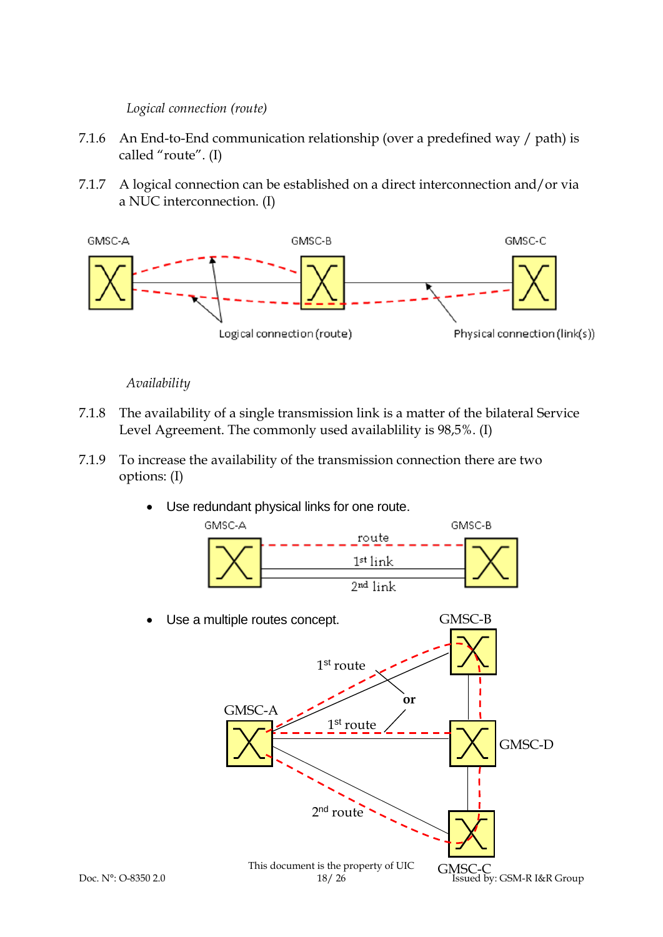### *Logical connection (route)*

- 7.1.6 An End-to-End communication relationship (over a predefined way / path) is called "route". (I)
- 7.1.7 A logical connection can be established on a direct interconnection and/or via a NUC interconnection. (I)



# *Availability*

- 7.1.8 The availability of a single transmission link is a matter of the bilateral Service Level Agreement. The commonly used availablility is 98,5%. (I)
- 7.1.9 To increase the availability of the transmission connection there are two options: (I)
	- Use redundant physical links for one route.

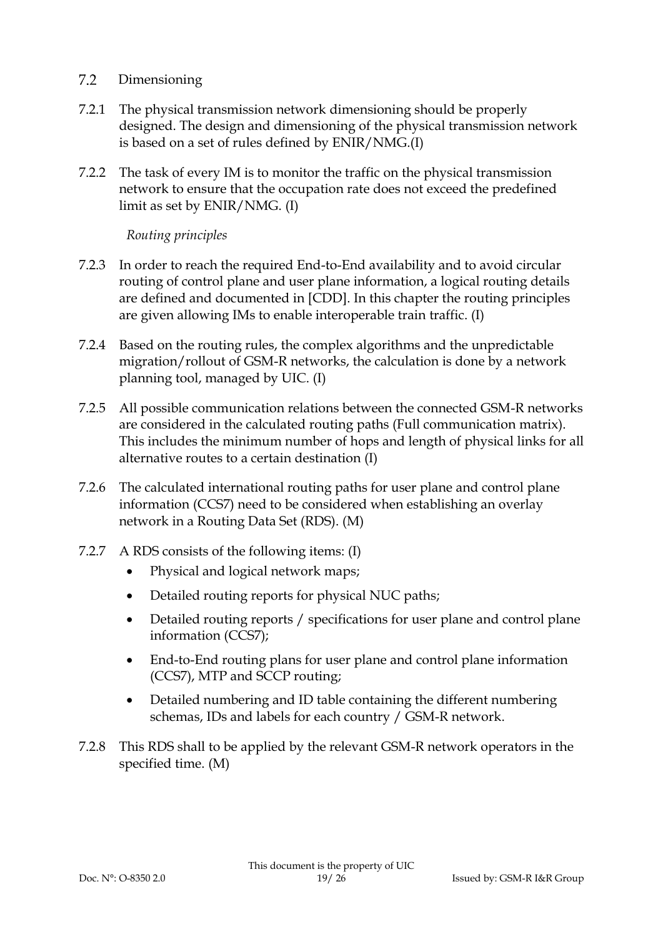#### $7.2$ Dimensioning

- 7.2.1 The physical transmission network dimensioning should be properly designed. The design and dimensioning of the physical transmission network is based on a set of rules defined by ENIR/NMG.(I)
- 7.2.2 The task of every IM is to monitor the traffic on the physical transmission network to ensure that the occupation rate does not exceed the predefined limit as set by ENIR/NMG. (I)

# *Routing principles*

- 7.2.3 In order to reach the required End-to-End availability and to avoid circular routing of control plane and user plane information, a logical routing details are defined and documented in [CDD]. In this chapter the routing principles are given allowing IMs to enable interoperable train traffic. (I)
- 7.2.4 Based on the routing rules, the complex algorithms and the unpredictable migration/rollout of GSM-R networks, the calculation is done by a network planning tool, managed by UIC. (I)
- 7.2.5 All possible communication relations between the connected GSM-R networks are considered in the calculated routing paths (Full communication matrix). This includes the minimum number of hops and length of physical links for all alternative routes to a certain destination (I)
- 7.2.6 The calculated international routing paths for user plane and control plane information (CCS7) need to be considered when establishing an overlay network in a Routing Data Set (RDS). (M)
- 7.2.7 A RDS consists of the following items: (I)
	- Physical and logical network maps;
	- Detailed routing reports for physical NUC paths;
	- Detailed routing reports / specifications for user plane and control plane information (CCS7);
	- End-to-End routing plans for user plane and control plane information (CCS7), MTP and SCCP routing;
	- Detailed numbering and ID table containing the different numbering schemas, IDs and labels for each country / GSM-R network.
- 7.2.8 This RDS shall to be applied by the relevant GSM-R network operators in the specified time. (M)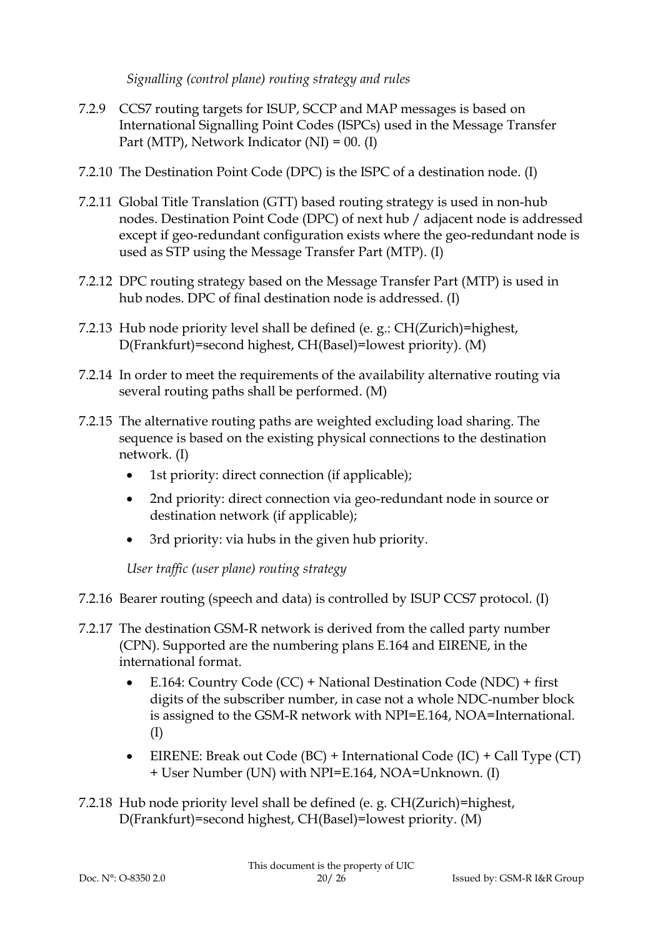*Signalling (control plane) routing strategy and rules*

- 7.2.9 CCS7 routing targets for ISUP, SCCP and MAP messages is based on International Signalling Point Codes (ISPCs) used in the Message Transfer Part (MTP), Network Indicator (NI) = 00. (I)
- 7.2.10 The Destination Point Code (DPC) is the ISPC of a destination node. (I)
- 7.2.11 Global Title Translation (GTT) based routing strategy is used in non-hub nodes. Destination Point Code (DPC) of next hub / adjacent node is addressed except if geo-redundant configuration exists where the geo-redundant node is used as STP using the Message Transfer Part (MTP). (I)
- 7.2.12 DPC routing strategy based on the Message Transfer Part (MTP) is used in hub nodes. DPC of final destination node is addressed. (I)
- 7.2.13 Hub node priority level shall be defined (e. g.: CH(Zurich)=highest, D(Frankfurt)=second highest, CH(Basel)=lowest priority). (M)
- 7.2.14 In order to meet the requirements of the availability alternative routing via several routing paths shall be performed. (M)
- 7.2.15 The alternative routing paths are weighted excluding load sharing. The sequence is based on the existing physical connections to the destination network. (I)
	- 1st priority: direct connection (if applicable);
	- 2nd priority: direct connection via geo-redundant node in source or destination network (if applicable);
	- 3rd priority: via hubs in the given hub priority.

*User traffic (user plane) routing strategy*

- 7.2.16 Bearer routing (speech and data) is controlled by ISUP CCS7 protocol. (I)
- 7.2.17 The destination GSM-R network is derived from the called party number (CPN). Supported are the numbering plans E.164 and EIRENE, in the international format.
	- E.164: Country Code (CC) + National Destination Code (NDC) + first digits of the subscriber number, in case not a whole NDC-number block is assigned to the GSM-R network with NPI=E.164, NOA=International. (I)
	- EIRENE: Break out Code (BC) + International Code (IC) + Call Type (CT) + User Number (UN) with NPI=E.164, NOA=Unknown. (I)
- 7.2.18 Hub node priority level shall be defined (e. g. CH(Zurich)=highest, D(Frankfurt)=second highest, CH(Basel)=lowest priority. (M)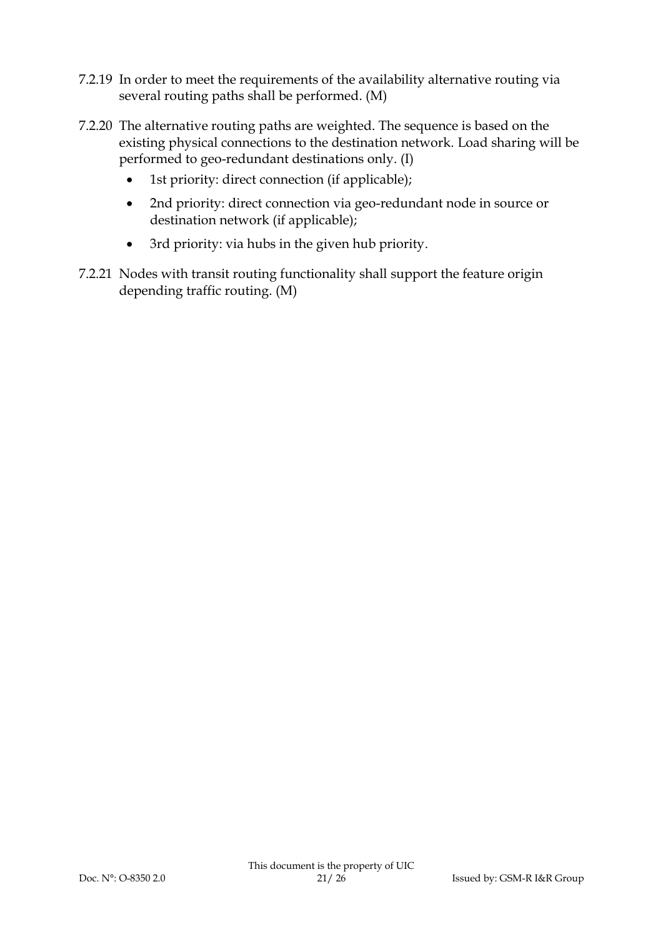- 7.2.19 In order to meet the requirements of the availability alternative routing via several routing paths shall be performed. (M)
- 7.2.20 The alternative routing paths are weighted. The sequence is based on the existing physical connections to the destination network. Load sharing will be performed to geo-redundant destinations only. (I)
	- 1st priority: direct connection (if applicable);
	- 2nd priority: direct connection via geo-redundant node in source or destination network (if applicable);
	- 3rd priority: via hubs in the given hub priority.
- 7.2.21 Nodes with transit routing functionality shall support the feature origin depending traffic routing. (M)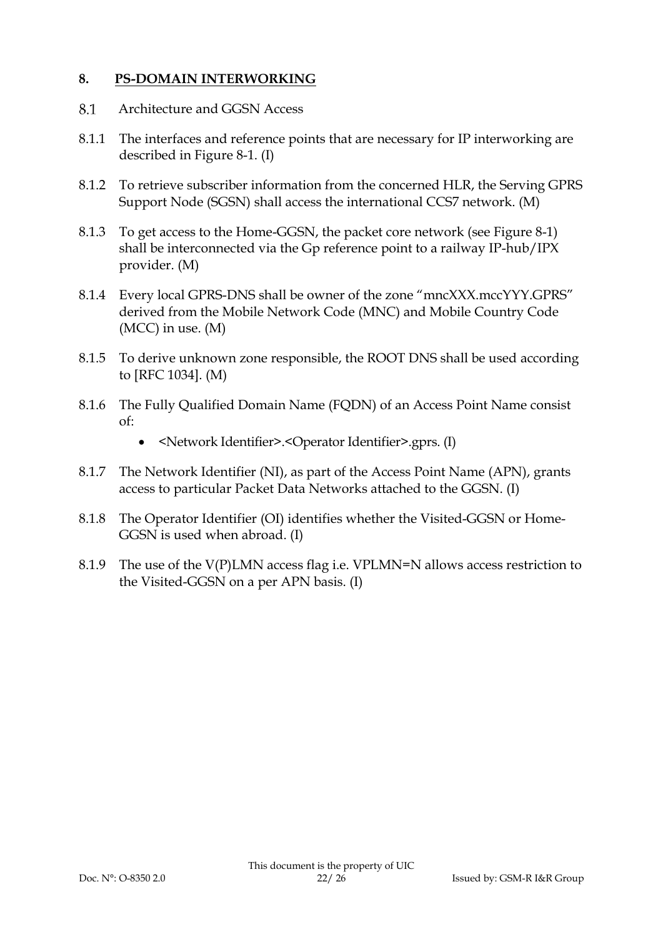## **8. PS-DOMAIN INTERWORKING**

- 8.1 Architecture and GGSN Access
- 8.1.1 The interfaces and reference points that are necessary for IP interworking are described in [Figure 8-1.](#page-22-0) (I)
- 8.1.2 To retrieve subscriber information from the concerned HLR, the Serving GPRS Support Node (SGSN) shall access the international CCS7 network. (M)
- 8.1.3 To get access to the Home-GGSN, the packet core network (see [Figure 8-1\)](#page-22-0) shall be interconnected via the Gp reference point to a railway IP-hub/IPX provider. (M)
- 8.1.4 Every local GPRS-DNS shall be owner of the zone "mncXXX.mccYYY.GPRS" derived from the Mobile Network Code (MNC) and Mobile Country Code (MCC) in use. (M)
- 8.1.5 To derive unknown zone responsible, the ROOT DNS shall be used according to [RFC 1034]. (M)
- 8.1.6 The Fully Qualified Domain Name (FQDN) of an Access Point Name consist of:
	- <Network Identifier>.<Operator Identifier>.gprs. (I)
- 8.1.7 The Network Identifier (NI), as part of the Access Point Name (APN), grants access to particular Packet Data Networks attached to the GGSN. (I)
- 8.1.8 The Operator Identifier (OI) identifies whether the Visited-GGSN or Home-GGSN is used when abroad. (I)
- 8.1.9 The use of the V(P)LMN access flag i.e. VPLMN=N allows access restriction to the Visited-GGSN on a per APN basis. (I)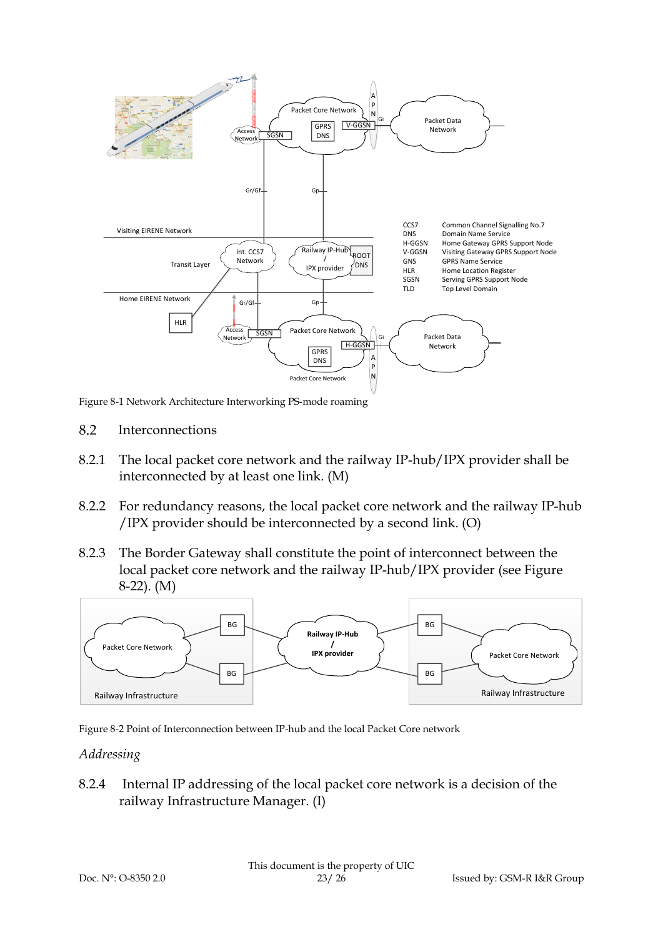

<span id="page-22-0"></span>Figure 8-1 Network Architecture Interworking PS-mode roaming

- 8.2 Interconnections
- 8.2.1 The local packet core network and the railway IP-hub/IPX provider shall be interconnected by at least one link. (M)
- 8.2.2 For redundancy reasons, the local packet core network and the railway IP-hub /IPX provider should be interconnected by a second link. (O)
- 8.2.3 The Border Gateway shall constitute the point of interconnect between the local packet core network and the railway IP-hub/IPX provider (see [Figure](#page-22-1)  [8-22](#page-22-1)). (M)



<span id="page-22-1"></span>Figure 8-2 Point of Interconnection between IP-hub and the local Packet Core network

### *Addressing*

8.2.4 Internal IP addressing of the local packet core network is a decision of the railway Infrastructure Manager. (I)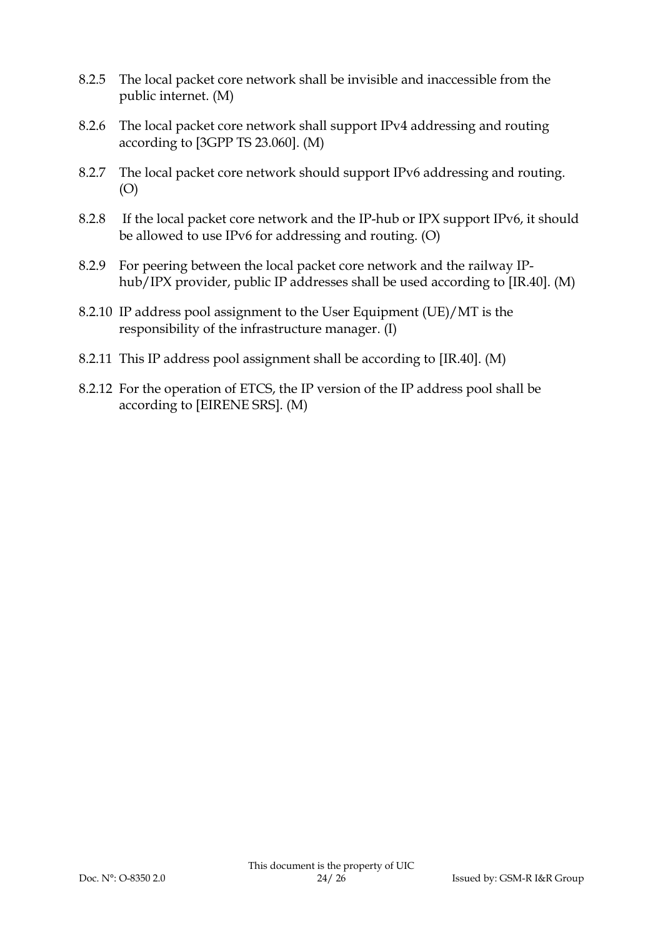- 8.2.5 The local packet core network shall be invisible and inaccessible from the public internet. (M)
- 8.2.6 The local packet core network shall support IPv4 addressing and routing according to [3GPP TS 23.060]. (M)
- 8.2.7 The local packet core network should support IPv6 addressing and routing. (O)
- 8.2.8 If the local packet core network and the IP-hub or IPX support IPv6, it should be allowed to use IPv6 for addressing and routing. (O)
- 8.2.9 For peering between the local packet core network and the railway IPhub/IPX provider, public IP addresses shall be used according to [IR.40]. (M)
- 8.2.10 IP address pool assignment to the User Equipment (UE)/MT is the responsibility of the infrastructure manager. (I)
- 8.2.11 This IP address pool assignment shall be according to [IR.40]. (M)
- 8.2.12 For the operation of ETCS, the IP version of the IP address pool shall be according to [EIRENE SRS]. (M)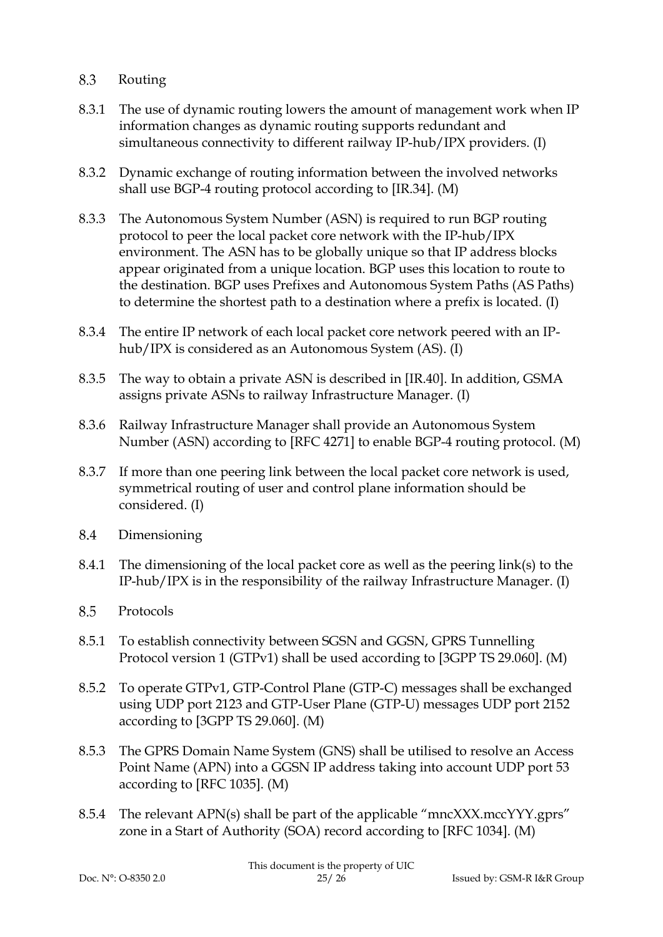#### 8.3 Routing

- 8.3.1 The use of dynamic routing lowers the amount of management work when IP information changes as dynamic routing supports redundant and simultaneous connectivity to different railway IP-hub/IPX providers. (I)
- 8.3.2 Dynamic exchange of routing information between the involved networks shall use BGP-4 routing protocol according to [IR.34]. (M)
- 8.3.3 The Autonomous System Number (ASN) is required to run BGP routing protocol to peer the local packet core network with the IP-hub/IPX environment. The ASN has to be globally unique so that IP address blocks appear originated from a unique location. BGP uses this location to route to the destination. BGP uses Prefixes and Autonomous System Paths (AS Paths) to determine the shortest path to a destination where a prefix is located. (I)
- 8.3.4 The entire IP network of each local packet core network peered with an IPhub/IPX is considered as an Autonomous System (AS). (I)
- 8.3.5 The way to obtain a private ASN is described in [IR.40]. In addition, GSMA assigns private ASNs to railway Infrastructure Manager. (I)
- 8.3.6 Railway Infrastructure Manager shall provide an Autonomous System Number (ASN) according to [RFC 4271] to enable BGP-4 routing protocol. (M)
- 8.3.7 If more than one peering link between the local packet core network is used, symmetrical routing of user and control plane information should be considered. (I)
- 8.4 Dimensioning
- 8.4.1 The dimensioning of the local packet core as well as the peering link(s) to the IP-hub/IPX is in the responsibility of the railway Infrastructure Manager. (I)
- 8.5 Protocols
- 8.5.1 To establish connectivity between SGSN and GGSN, GPRS Tunnelling Protocol version 1 (GTPv1) shall be used according to [3GPP TS 29.060]. (M)
- 8.5.2 To operate GTPv1, GTP-Control Plane (GTP-C) messages shall be exchanged using UDP port 2123 and GTP-User Plane (GTP-U) messages UDP port 2152 according to [3GPP TS 29.060]. (M)
- 8.5.3 The GPRS Domain Name System (GNS) shall be utilised to resolve an Access Point Name (APN) into a GGSN IP address taking into account UDP port 53 according to [RFC 1035]. (M)
- 8.5.4 The relevant APN(s) shall be part of the applicable "mncXXX.mccYYY.gprs" zone in a Start of Authority (SOA) record according to [RFC 1034]. (M)